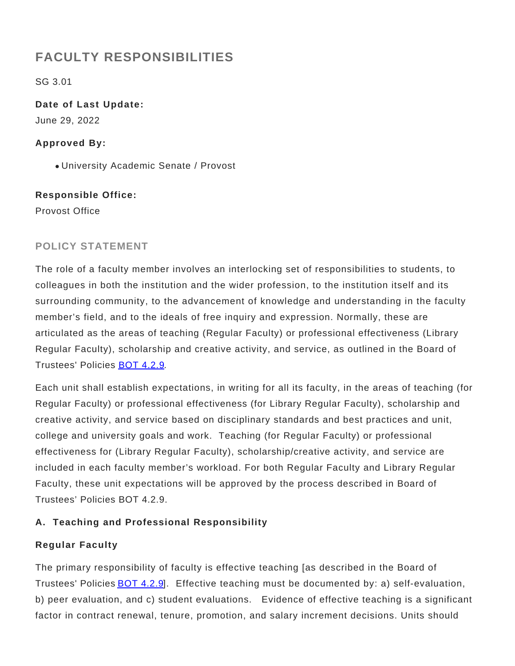# **FACULTY RESPONSIBILITIES**

SG 3.01

**Date of Last Update:** June 29, 2022

# **Approved By:**

University Academic Senate / Provost

# **Responsible Office:**

Provost Office

# **POLICY STATEMENT**

The role of a faculty member involves an interlocking set of responsibilities to students, to colleagues in both the institution and the wider profession, to the institution itself and its surrounding community, to the advancement of knowledge and understanding in the faculty member's field, and to the ideals of free inquiry and expression. Normally, these are articulated as the areas of teaching (Regular Faculty) or professional effectiveness (Library Regular Faculty), scholarship and creative activity, and service, as outlined in the Board of Trustees' Policies [BOT 4.2.9](https://www.gvsu.edu/policies/policy.htm?policyId=AB5784F4-ECDC-2D65-100EB4DB665FCC68).

Each unit shall establish expectations, in writing for all its faculty, in the areas of teaching (for Regular Faculty) or professional effectiveness (for Library Regular Faculty), scholarship and creative activity, and service based on disciplinary standards and best practices and unit, college and university goals and work. Teaching (for Regular Faculty) or professional effectiveness for (Library Regular Faculty), scholarship/creative activity, and service are included in each faculty member's workload. For both Regular Faculty and Library Regular Faculty, these unit expectations will be approved by the process described in Board of Trustees' Policies BOT 4.2.9.

# **A. Teaching and Professional Responsibility**

# **Regular Faculty**

The primary responsibility of faculty is effective teaching [as described in the Board of Trustees' Policies [BOT 4.2.9](https://www.gvsu.edu/policies/policy.htm?policyId=AB5784F4-ECDC-2D65-100EB4DB665FCC68)]. Effective teaching must be documented by: a) self-evaluation, b) peer evaluation, and c) student evaluations. Evidence of effective teaching is a significant factor in contract renewal, tenure, promotion, and salary increment decisions. Units should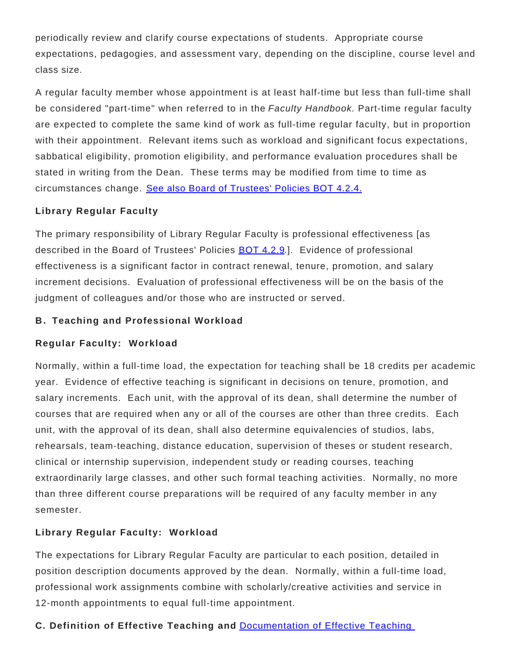periodically review and clarify course expectations of students. Appropriate course expectations, pedagogies, and assessment vary, depending on the discipline, course level and class size.

A regular faculty member whose appointment is at least half-time but less than full-time shall be considered "part-time" when referred to in the Faculty Handbook. Part-time regular faculty are expected to complete the same kind of work as full-time regular faculty, but in proportion with their appointment. Relevant items such as workload and significant focus expectations, sabbatical eligibility, promotion eligibility, and performance evaluation procedures shall be stated in writing from the Dean. These terms may be modified from time to time as circumstances change. [See also Board of Trustees' Policies BOT 4.2.4.](https://www.gvsu.edu/policies/policy.htm?policyId=85DCE542-A406-9EB1-247D7BCC9C179E81&search=)

# **Library Regular Faculty**

The primary responsibility of Library Regular Faculty is professional effectiveness [as described in the Board of Trustees' Policies **[BOT 4.2.9](https://www.gvsu.edu/policies/policy.htm?policyId=AB5784F4-ECDC-2D65-100EB4DB665FCC68).**]. Evidence of professional effectiveness is a significant factor in contract renewal, tenure, promotion, and salary increment decisions. Evaluation of professional effectiveness will be on the basis of the judgment of colleagues and/or those who are instructed or served.

#### **B . Teaching and Professional Workload**

#### **Regular Faculty: Workload**

Normally, within a full-time load, the expectation for teaching shall be 18 credits per academic year. Evidence of effective teaching is significant in decisions on tenure, promotion, and salary increments. Each unit, with the approval of its dean, shall determine the number of courses that are required when any or all of the courses are other than three credits. Each unit, with the approval of its dean, shall also determine equivalencies of studios, labs, rehearsals, team-teaching, distance education, supervision of theses or student research, clinical or internship supervision, independent study or reading courses, teaching extraordinarily large classes, and other such formal teaching activities. Normally, no more than three different course preparations will be required of any faculty member in any semester.

# **Library Regular Faculty: Workload**

The expectations for Library Regular Faculty are particular to each position, detailed in position description documents approved by the dean. Normally, within a full-time load, professional work assignments combine with scholarly/creative activities and service in 12-month appointments to equal full-time appointment.

# **C. Definition of Effective Teaching and** [Documentation of Effective Teaching](file:/policies/policy.htm?policyId=3E8C40FE-93EA-68B8-152BC2EA429CD468#Documentation)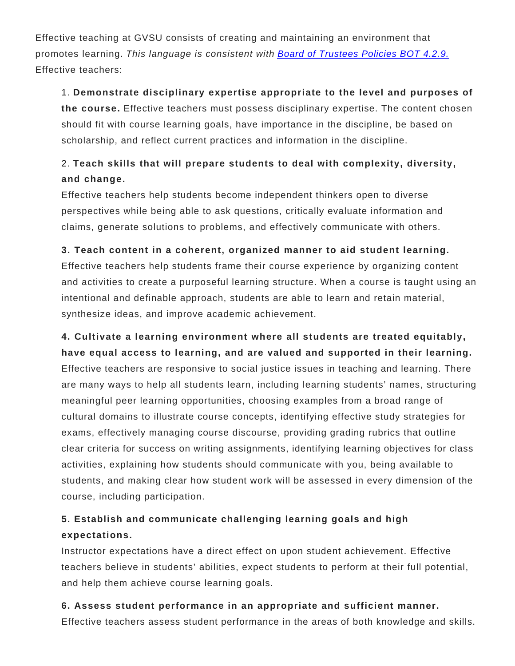Effective teaching at GVSU consists of creating and maintaining an environment that promotes learning. This language is consistent with **[Board of Trustees Policies BOT 4.2.9.](https://www.gvsu.edu/policies/policy.htm?policyId=AB5784F4-ECDC-2D65-100EB4DB665FCC68&search=)** Effective teachers:

### 1. **Demonstrate disciplinary expertise appropriate to the level and purposes of**

**the course.** Effective teachers must possess disciplinary expertise. The content chosen should fit with course learning goals, have importance in the discipline, be based on scholarship, and reflect current practices and information in the discipline.

# 2. **Teach skills that will prepare students to deal with complexity, diversity, and change.**

Effective teachers help students become independent thinkers open to diverse perspectives while being able to ask questions, critically evaluate information and claims, generate solutions to problems, and effectively communicate with others.

# **3. Teach content in a coherent, organized manner to aid student learning.**

Effective teachers help students frame their course experience by organizing content and activities to create a purposeful learning structure. When a course is taught using an intentional and definable approach, students are able to learn and retain material, synthesize ideas, and improve academic achievement.

# **4. Cultivate a learning environment where all students are treated equitably, have equal access to learning, and are valued and supported in their learning.**

Effective teachers are responsive to social justice issues in teaching and learning. There are many ways to help all students learn, including learning students' names, structuring meaningful peer learning opportunities, choosing examples from a broad range of cultural domains to illustrate course concepts, identifying effective study strategies for exams, effectively managing course discourse, providing grading rubrics that outline clear criteria for success on writing assignments, identifying learning objectives for class activities, explaining how students should communicate with you, being available to students, and making clear how student work will be assessed in every dimension of the course, including participation.

# **5. Establish and communicate challenging learning goals and high expectations.**

Instructor expectations have a direct effect on upon student achievement. Effective teachers believe in students' abilities, expect students to perform at their full potential, and help them achieve course learning goals.

# **6. Assess student performance in an appropriate and sufficient manner.**

Effective teachers assess student performance in the areas of both knowledge and skills.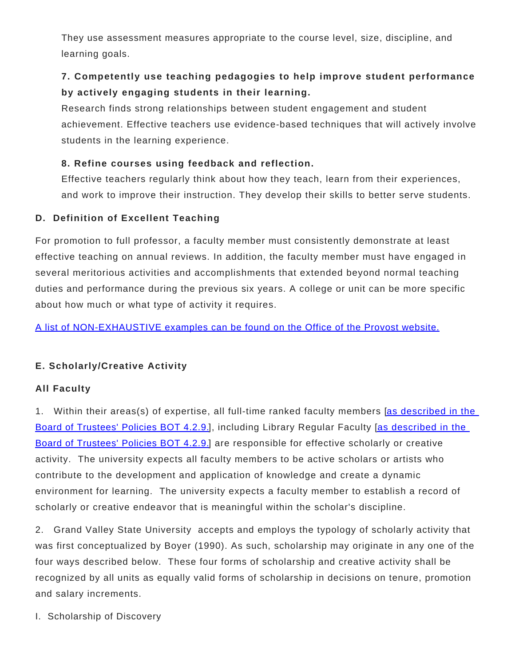They use assessment measures appropriate to the course level, size, discipline, and learning goals.

# **7. Competently use teaching pedagogies to help improve student performance by actively engaging students in their learning.**

Research finds strong relationships between student engagement and student achievement. Effective teachers use evidence-based techniques that will actively involve students in the learning experience.

# **8. Refine courses using feedback and reflection.**

Effective teachers regularly think about how they teach, learn from their experiences, and work to improve their instruction. They develop their skills to better serve students.

# **D. Definition of Excellent Teaching**

For promotion to full professor, a faculty member must consistently demonstrate at least effective teaching on annual reviews. In addition, the faculty member must have engaged in several meritorious activities and accomplishments that extended beyond normal teaching duties and performance during the previous six years. A college or unit can be more specific about how much or what type of activity it requires.

[A list of NON-EXHAUSTIVE examples can be found on the Office of the Provost website.](https://www.gvsu.edu/provost/definition-of-excellent-teaching-242.htm)

# **E. Scholarly/Creative Activity**

# **All Faculty**

1. Within their areas(s) of expertise, all full-time ranked faculty members [\[as described in the](https://www.gvsu.edu/policies/policy.htm?policyId=AB5784F4-ECDC-2D65-100EB4DB665FCC68) [Board of Trustees' Policies BOT 4.2.9.](https://www.gvsu.edu/policies/policy.htm?policyId=AB5784F4-ECDC-2D65-100EB4DB665FCC68)], including Library Regular Faculty [[as described in the](https://www.gvsu.edu/policies/policy.htm?policyId=AB5784F4-ECDC-2D65-100EB4DB665FCC68) [Board of Trustees' Policies BOT 4.2.9.](https://www.gvsu.edu/policies/policy.htm?policyId=AB5784F4-ECDC-2D65-100EB4DB665FCC68)] are responsible for effective scholarly or creative activity. The university expects all faculty members to be active scholars or artists who contribute to the development and application of knowledge and create a dynamic environment for learning. The university expects a faculty member to establish a record of scholarly or creative endeavor that is meaningful within the scholar's discipline.

2. Grand Valley State University accepts and employs the typology of scholarly activity that was first conceptualized by Boyer (1990). As such, scholarship may originate in any one of the four ways described below. These four forms of scholarship and creative activity shall be recognized by all units as equally valid forms of scholarship in decisions on tenure, promotion and salary increments.

I. Scholarship of Discovery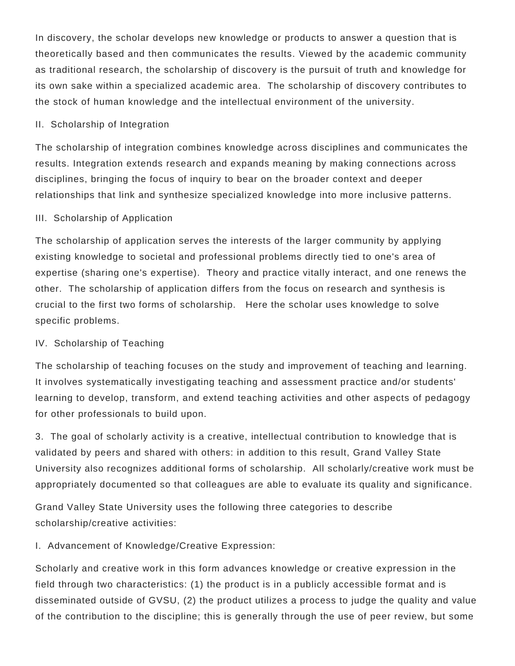In discovery, the scholar develops new knowledge or products to answer a question that is theoretically based and then communicates the results. Viewed by the academic community as traditional research, the scholarship of discovery is the pursuit of truth and knowledge for its own sake within a specialized academic area. The scholarship of discovery contributes to the stock of human knowledge and the intellectual environment of the university.

#### II. Scholarship of Integration

The scholarship of integration combines knowledge across disciplines and communicates the results. Integration extends research and expands meaning by making connections across disciplines, bringing the focus of inquiry to bear on the broader context and deeper relationships that link and synthesize specialized knowledge into more inclusive patterns.

#### III. Scholarship of Application

The scholarship of application serves the interests of the larger community by applying existing knowledge to societal and professional problems directly tied to one's area of expertise (sharing one's expertise). Theory and practice vitally interact, and one renews the other. The scholarship of application differs from the focus on research and synthesis is crucial to the first two forms of scholarship. Here the scholar uses knowledge to solve specific problems.

#### IV. Scholarship of Teaching

The scholarship of teaching focuses on the study and improvement of teaching and learning. It involves systematically investigating teaching and assessment practice and/or students' learning to develop, transform, and extend teaching activities and other aspects of pedagogy for other professionals to build upon.

3. The goal of scholarly activity is a creative, intellectual contribution to knowledge that is validated by peers and shared with others: in addition to this result, Grand Valley State University also recognizes additional forms of scholarship. All scholarly/creative work must be appropriately documented so that colleagues are able to evaluate its quality and significance.

Grand Valley State University uses the following three categories to describe scholarship/creative activities:

I. Advancement of Knowledge/Creative Expression:

Scholarly and creative work in this form advances knowledge or creative expression in the field through two characteristics: (1) the product is in a publicly accessible format and is disseminated outside of GVSU, (2) the product utilizes a process to judge the quality and value of the contribution to the discipline; this is generally through the use of peer review, but some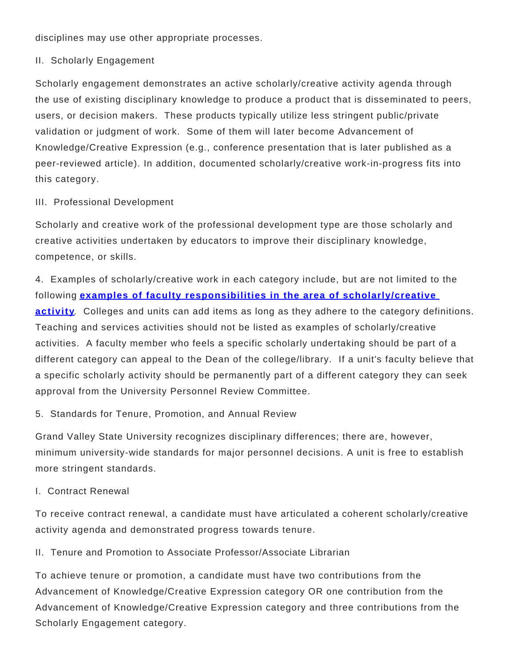disciplines may use other appropriate processes.

II. Scholarly Engagement

Scholarly engagement demonstrates an active scholarly/creative activity agenda through the use of existing disciplinary knowledge to produce a product that is disseminated to peers, users, or decision makers. These products typically utilize less stringent public/private validation or judgment of work. Some of them will later become Advancement of Knowledge/Creative Expression (e.g., conference presentation that is later published as a peer-reviewed article). In addition, documented scholarly/creative work-in-progress fits into this category.

#### III. Professional Development

Scholarly and creative work of the professional development type are those scholarly and creative activities undertaken by educators to improve their disciplinary knowledge, competence, or skills.

4. Examples of scholarly/creative work in each category include, but are not limited to the following **[examples of faculty responsibilities in the area of scholarly/creative](https://www.gvsu.edu/provost/faculty-responsibilities-in-the-area-of-scholarlycreative-activity-148.htm) [activity](https://www.gvsu.edu/provost/faculty-responsibilities-in-the-area-of-scholarlycreative-activity-148.htm)**. Colleges and units can add items as long as they adhere to the category definitions. Teaching and services activities should not be listed as examples of scholarly/creative activities. A faculty member who feels a specific scholarly undertaking should be part of a different category can appeal to the Dean of the college/library. If a unit's faculty believe that a specific scholarly activity should be permanently part of a different category they can seek approval from the University Personnel Review Committee.

5. Standards for Tenure, Promotion, and Annual Review

Grand Valley State University recognizes disciplinary differences; there are, however, minimum university-wide standards for major personnel decisions. A unit is free to establish more stringent standards.

I. Contract Renewal

To receive contract renewal, a candidate must have articulated a coherent scholarly/creative activity agenda and demonstrated progress towards tenure.

II. Tenure and Promotion to Associate Professor/Associate Librarian

To achieve tenure or promotion, a candidate must have two contributions from the Advancement of Knowledge/Creative Expression category OR one contribution from the Advancement of Knowledge/Creative Expression category and three contributions from the Scholarly Engagement category.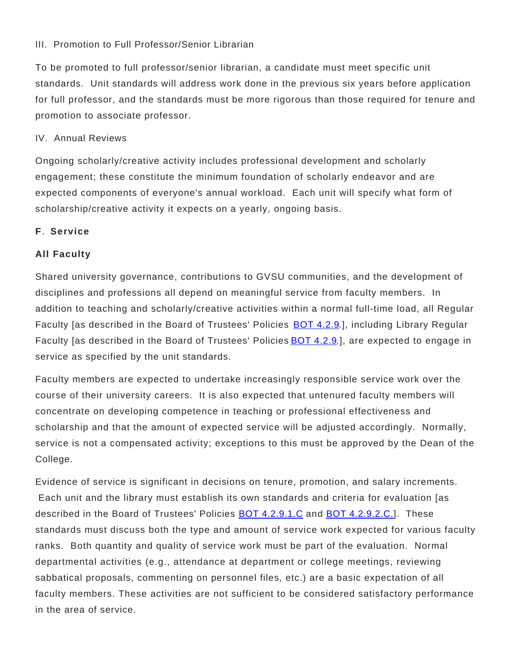#### III. Promotion to Full Professor/Senior Librarian

To be promoted to full professor/senior librarian, a candidate must meet specific unit standards. Unit standards will address work done in the previous six years before application for full professor, and the standards must be more rigorous than those required for tenure and promotion to associate professor.

#### IV. Annual Reviews

Ongoing scholarly/creative activity includes professional development and scholarly engagement; these constitute the minimum foundation of scholarly endeavor and are expected components of everyone's annual workload. Each unit will specify what form of scholarship/creative activity it expects on a yearly, ongoing basis.

### **F**. **Service**

### **All Faculty**

Shared university governance, contributions to GVSU communities, and the development of disciplines and professions all depend on meaningful service from faculty members. In addition to teaching and scholarly/creative activities within a normal full-time load, all Regular Faculty [as described in the Board of Trustees' Policies [BOT 4.2.9](file:/policies/policy.htm?policyId=AB5784F4-ECDC-2D65-100EB4DB665FCC68).], including Library Regular Faculty [as described in the Board of Trustees' Policies **BOT 4.2.9.]**, are expected to engage in service as specified by the unit standards.

Faculty members are expected to undertake increasingly responsible service work over the course of their university careers. It is also expected that untenured faculty members will concentrate on developing competence in teaching or professional effectiveness and scholarship and that the amount of expected service will be adjusted accordingly. Normally, service is not a compensated activity; exceptions to this must be approved by the Dean of the College.

Evidence of service is significant in decisions on tenure, promotion, and salary increments. Each unit and the library must establish its own standards and criteria for evaluation [as described in the Board of Trustees' Policies [BOT 4.2.9.1.C](https://www.gvsu.edu/policies/policy.htm?policyId=AB5784F4-ECDC-2D65-100EB4DB665FCC68&search=) and [BOT 4.2.9.2.C.](https://www.gvsu.edu/policies/policy.htm?policyId=AB5784F4-ECDC-2D65-100EB4DB665FCC68&search=)]. These standards must discuss both the type and amount of service work expected for various faculty ranks. Both quantity and quality of service work must be part of the evaluation. Normal departmental activities (e.g., attendance at department or college meetings, reviewing sabbatical proposals, commenting on personnel files, etc.) are a basic expectation of all faculty members. These activities are not sufficient to be considered satisfactory performance in the area of service.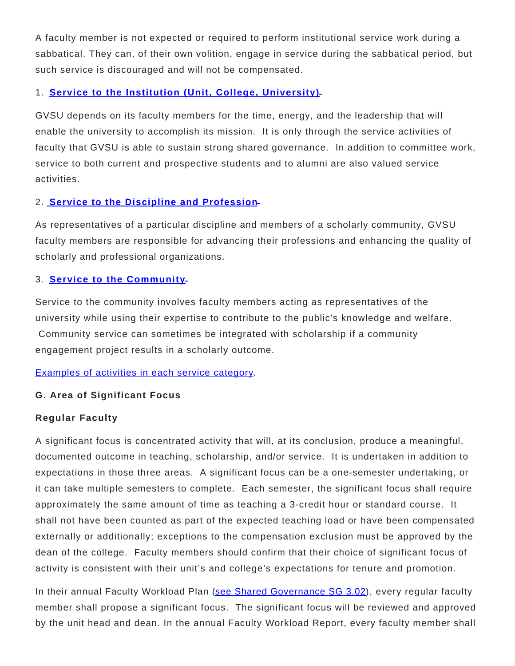A faculty member is not expected or required to perform institutional service work during a sabbatical. They can, of their own volition, engage in service during the sabbatical period, but such service is discouraged and will not be compensated.

### 1. **[Service to the Institution \(Unit, College, University\)](https://www.gvsu.edu/provost/faculty-responsibilities-in-the-area-of-service-113.htm)**

GVSU depends on its faculty members for the time, energy, and the leadership that will enable the university to accomplish its mission. It is only through the service activities of faculty that GVSU is able to sustain strong shared governance. In addition to committee work, service to both current and prospective students and to alumni are also valued service activities.

### 2. **[Service to the Discipline and Profession](https://www.gvsu.edu/provost/faculty-responsibilities-in-the-area-of-service-113.htm)**

As representatives of a particular discipline and members of a scholarly community, GVSU faculty members are responsible for advancing their professions and enhancing the quality of scholarly and professional organizations.

### 3. **[Service to the Community](https://www.gvsu.edu/provost/faculty-responsibilities-in-the-area-of-service-113.htm)**

Service to the community involves faculty members acting as representatives of the university while using their expertise to contribute to the public's knowledge and welfare. Community service can sometimes be integrated with scholarship if a community engagement project results in a scholarly outcome.

#### [Examples of activities in each service category](https://www.gvsu.edu/provost/faculty-responsibilities-in-the-area-of-service-113.htm).

#### **G. Area of Significant Focus**

#### **Regular Faculty**

A significant focus is concentrated activity that will, at its conclusion, produce a meaningful, documented outcome in teaching, scholarship, and/or service. It is undertaken in addition to expectations in those three areas. A significant focus can be a one-semester undertaking, or it can take multiple semesters to complete. Each semester, the significant focus shall require approximately the same amount of time as teaching a 3-credit hour or standard course. It shall not have been counted as part of the expected teaching load or have been compensated externally or additionally; exceptions to the compensation exclusion must be approved by the dean of the college. Faculty members should confirm that their choice of significant focus of activity is consistent with their unit's and college's expectations for tenure and promotion.

In their annual Faculty Workload Plan ([see Shared Governance SG 3.02](https://www.gvsu.edu/policies/policy.htm?policyId=3EBB3166-0A94-BE03-2AF1D5257610EFE9)), every regular faculty member shall propose a significant focus. The significant focus will be reviewed and approved by the unit head and dean. In the annual Faculty Workload Report, every faculty member shall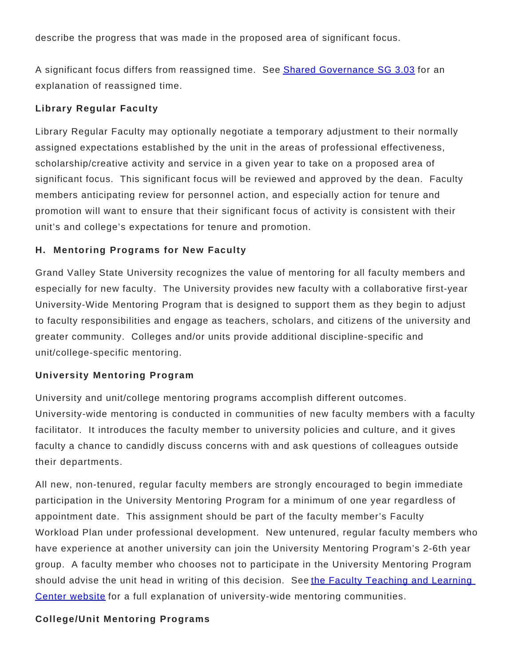describe the progress that was made in the proposed area of significant focus.

A significant focus differs from reassigned time. See [Shared Governance SG 3.03](https://www.gvsu.edu/policies/policy.htm?policyId=1F4AF9E1-C208-3618-0EE6394791B816A4) for an explanation of reassigned time.

### **Library Regular Faculty**

Library Regular Faculty may optionally negotiate a temporary adjustment to their normally assigned expectations established by the unit in the areas of professional effectiveness, scholarship/creative activity and service in a given year to take on a proposed area of significant focus. This significant focus will be reviewed and approved by the dean. Faculty members anticipating review for personnel action, and especially action for tenure and promotion will want to ensure that their significant focus of activity is consistent with their unit's and college's expectations for tenure and promotion.

### **H. Mentoring Programs for New Faculty**

Grand Valley State University recognizes the value of mentoring for all faculty members and especially for new faculty. The University provides new faculty with a collaborative first-year University-Wide Mentoring Program that is designed to support them as they begin to adjust to faculty responsibilities and engage as teachers, scholars, and citizens of the university and greater community. Colleges and/or units provide additional discipline-specific and unit/college-specific mentoring.

#### **University Mentoring Program**

University and unit/college mentoring programs accomplish different outcomes. University-wide mentoring is conducted in communities of new faculty members with a faculty facilitator. It introduces the faculty member to university policies and culture, and it gives faculty a chance to candidly discuss concerns with and ask questions of colleagues outside their departments.

All new, non-tenured, regular faculty members are strongly encouraged to begin immediate participation in the University Mentoring Program for a minimum of one year regardless of appointment date. This assignment should be part of the faculty member's Faculty Workload Plan under professional development. New untenured, regular faculty members who have experience at another university can join the University Mentoring Program's 2-6th year group. A faculty member who chooses not to participate in the University Mentoring Program should advise the unit head in writing of this decision. See [the Faculty Teaching and Learning](https://www.gvsu.edu/ftlc/first-year-faculty-mentoring-communities-247.htm) [Center website](https://www.gvsu.edu/ftlc/first-year-faculty-mentoring-communities-247.htm) for a full explanation of university-wide mentoring communities.

#### **College/Unit Mentoring Programs**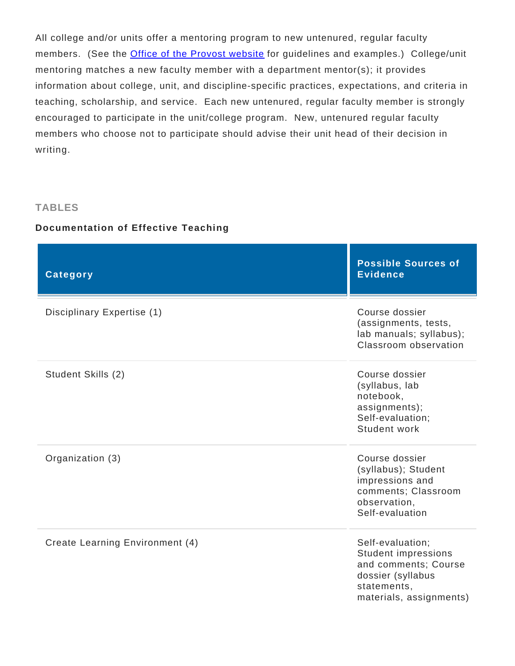All college and/or units offer a mentoring program to new untenured, regular faculty members. (See the **[Office of the Provost website](https://www.gvsu.edu/provost/mentorship-at-grand-valley-state-university-152.htm)** for guidelines and examples.) College/unit mentoring matches a new faculty member with a department mentor(s); it provides information about college, unit, and discipline-specific practices, expectations, and criteria in teaching, scholarship, and service. Each new untenured, regular faculty member is strongly encouraged to participate in the unit/college program. New, untenured regular faculty members who choose not to participate should advise their unit head of their decision in writing.

#### **TABLES**

#### **Documentation of Effective Teaching**

| <b>Category</b>                 | <b>Possible Sources of</b><br><b>Evidence</b>                                                                                         |
|---------------------------------|---------------------------------------------------------------------------------------------------------------------------------------|
| Disciplinary Expertise (1)      | Course dossier<br>(assignments, tests,<br>lab manuals; syllabus);<br>Classroom observation                                            |
| Student Skills (2)              | Course dossier<br>(syllabus, lab<br>notebook,<br>assignments);<br>Self-evaluation;<br>Student work                                    |
| Organization (3)                | Course dossier<br>(syllabus); Student<br>impressions and<br>comments; Classroom<br>observation,<br>Self-evaluation                    |
| Create Learning Environment (4) | Self-evaluation;<br><b>Student impressions</b><br>and comments; Course<br>dossier (syllabus<br>statements,<br>materials, assignments) |